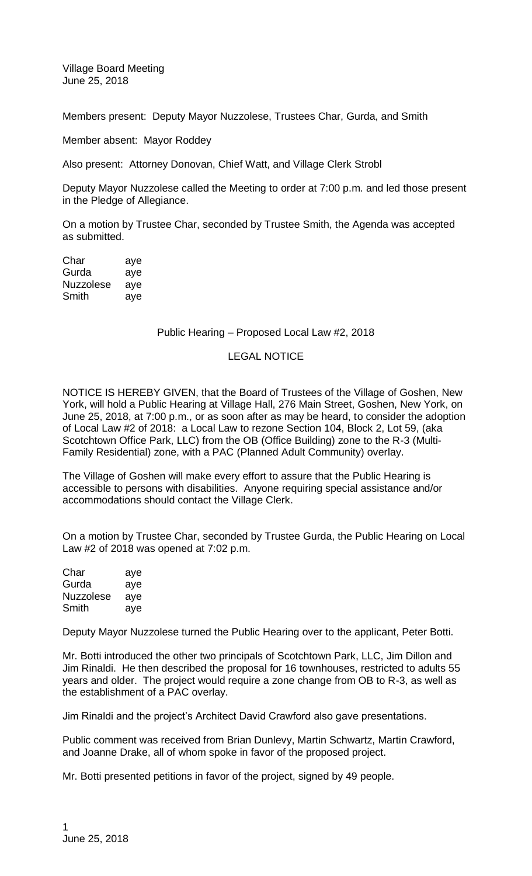Village Board Meeting June 25, 2018

Members present: Deputy Mayor Nuzzolese, Trustees Char, Gurda, and Smith

Member absent: Mayor Roddey

Also present: Attorney Donovan, Chief Watt, and Village Clerk Strobl

Deputy Mayor Nuzzolese called the Meeting to order at 7:00 p.m. and led those present in the Pledge of Allegiance.

On a motion by Trustee Char, seconded by Trustee Smith, the Agenda was accepted as submitted.

| Char      | aye |
|-----------|-----|
| Gurda     | aye |
| Nuzzolese | aye |
| Smith     | aye |

## Public Hearing – Proposed Local Law #2, 2018

## LEGAL NOTICE

NOTICE IS HEREBY GIVEN, that the Board of Trustees of the Village of Goshen, New York, will hold a Public Hearing at Village Hall, 276 Main Street, Goshen, New York, on June 25, 2018, at 7:00 p.m., or as soon after as may be heard, to consider the adoption of Local Law #2 of 2018: a Local Law to rezone Section 104, Block 2, Lot 59, (aka Scotchtown Office Park, LLC) from the OB (Office Building) zone to the R-3 (Multi-Family Residential) zone, with a PAC (Planned Adult Community) overlay.

The Village of Goshen will make every effort to assure that the Public Hearing is accessible to persons with disabilities. Anyone requiring special assistance and/or accommodations should contact the Village Clerk.

On a motion by Trustee Char, seconded by Trustee Gurda, the Public Hearing on Local Law #2 of 2018 was opened at 7:02 p.m.

| Char             | aye |
|------------------|-----|
| Gurda            | aye |
| <b>Nuzzolese</b> | aye |
| Smith            | aye |

Deputy Mayor Nuzzolese turned the Public Hearing over to the applicant, Peter Botti.

Mr. Botti introduced the other two principals of Scotchtown Park, LLC, Jim Dillon and Jim Rinaldi. He then described the proposal for 16 townhouses, restricted to adults 55 years and older. The project would require a zone change from OB to R-3, as well as the establishment of a PAC overlay.

Jim Rinaldi and the project's Architect David Crawford also gave presentations.

Public comment was received from Brian Dunlevy, Martin Schwartz, Martin Crawford, and Joanne Drake, all of whom spoke in favor of the proposed project.

Mr. Botti presented petitions in favor of the project, signed by 49 people.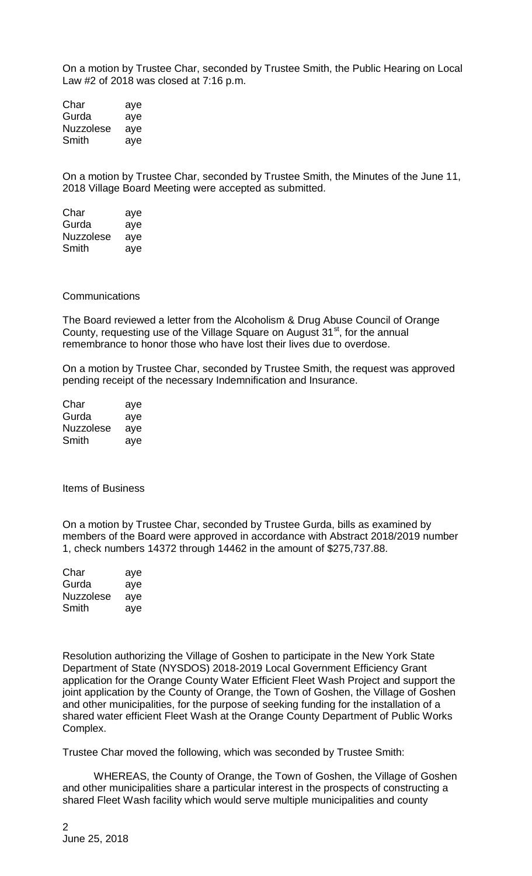On a motion by Trustee Char, seconded by Trustee Smith, the Public Hearing on Local Law #2 of 2018 was closed at 7:16 p.m.

Char aye Gurda aye Nuzzolese aye Smith aye

On a motion by Trustee Char, seconded by Trustee Smith, the Minutes of the June 11, 2018 Village Board Meeting were accepted as submitted.

| Char      | aye |
|-----------|-----|
| Gurda     | aye |
| Nuzzolese | aye |
| Smith     | aye |

## **Communications**

The Board reviewed a letter from the Alcoholism & Drug Abuse Council of Orange County, requesting use of the Village Square on August 31<sup>st</sup>, for the annual remembrance to honor those who have lost their lives due to overdose.

On a motion by Trustee Char, seconded by Trustee Smith, the request was approved pending receipt of the necessary Indemnification and Insurance.

| Char      | aye |
|-----------|-----|
| Gurda     | aye |
| Nuzzolese | aye |
| Smith     | aye |

Items of Business

On a motion by Trustee Char, seconded by Trustee Gurda, bills as examined by members of the Board were approved in accordance with Abstract 2018/2019 number 1, check numbers 14372 through 14462 in the amount of \$275,737.88.

| Char      | aye |
|-----------|-----|
| Gurda     | aye |
| Nuzzolese | aye |
| Smith     | aye |

Resolution authorizing the Village of Goshen to participate in the New York State Department of State (NYSDOS) 2018-2019 Local Government Efficiency Grant application for the Orange County Water Efficient Fleet Wash Project and support the joint application by the County of Orange, the Town of Goshen, the Village of Goshen and other municipalities, for the purpose of seeking funding for the installation of a shared water efficient Fleet Wash at the Orange County Department of Public Works Complex.

Trustee Char moved the following, which was seconded by Trustee Smith:

WHEREAS, the County of Orange, the Town of Goshen, the Village of Goshen and other municipalities share a particular interest in the prospects of constructing a shared Fleet Wash facility which would serve multiple municipalities and county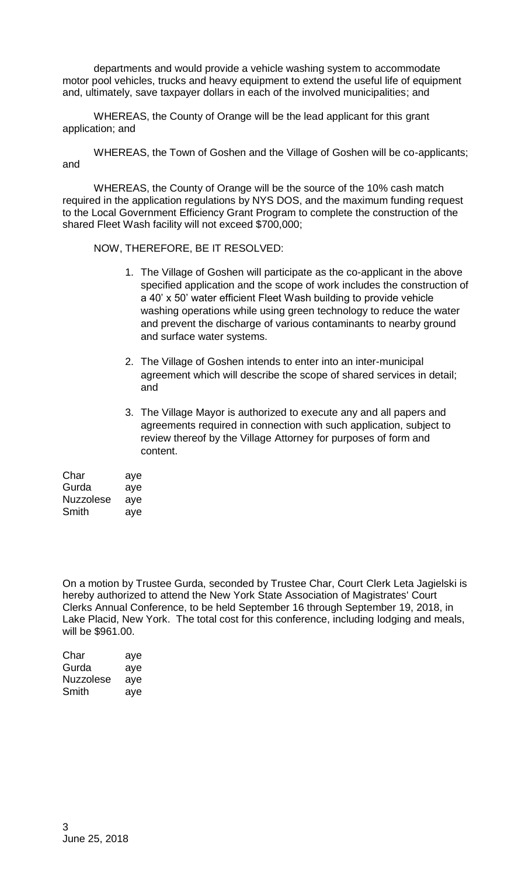departments and would provide a vehicle washing system to accommodate motor pool vehicles, trucks and heavy equipment to extend the useful life of equipment and, ultimately, save taxpayer dollars in each of the involved municipalities; and

WHEREAS, the County of Orange will be the lead applicant for this grant application; and

WHEREAS, the Town of Goshen and the Village of Goshen will be co-applicants; and

WHEREAS, the County of Orange will be the source of the 10% cash match required in the application regulations by NYS DOS, and the maximum funding request to the Local Government Efficiency Grant Program to complete the construction of the shared Fleet Wash facility will not exceed \$700,000;

NOW, THEREFORE, BE IT RESOLVED:

- 1. The Village of Goshen will participate as the co-applicant in the above specified application and the scope of work includes the construction of a 40' x 50' water efficient Fleet Wash building to provide vehicle washing operations while using green technology to reduce the water and prevent the discharge of various contaminants to nearby ground and surface water systems.
- 2. The Village of Goshen intends to enter into an inter-municipal agreement which will describe the scope of shared services in detail; and
- 3. The Village Mayor is authorized to execute any and all papers and agreements required in connection with such application, subject to review thereof by the Village Attorney for purposes of form and content.

| Char             | aye |
|------------------|-----|
| Gurda            | aye |
| <b>Nuzzolese</b> | aye |
| Smith            | ave |

On a motion by Trustee Gurda, seconded by Trustee Char, Court Clerk Leta Jagielski is hereby authorized to attend the New York State Association of Magistrates' Court Clerks Annual Conference, to be held September 16 through September 19, 2018, in Lake Placid, New York. The total cost for this conference, including lodging and meals, will be \$961.00.

| Char      | aye |
|-----------|-----|
| Gurda     | aye |
| Nuzzolese | aye |
| Smith     | aye |